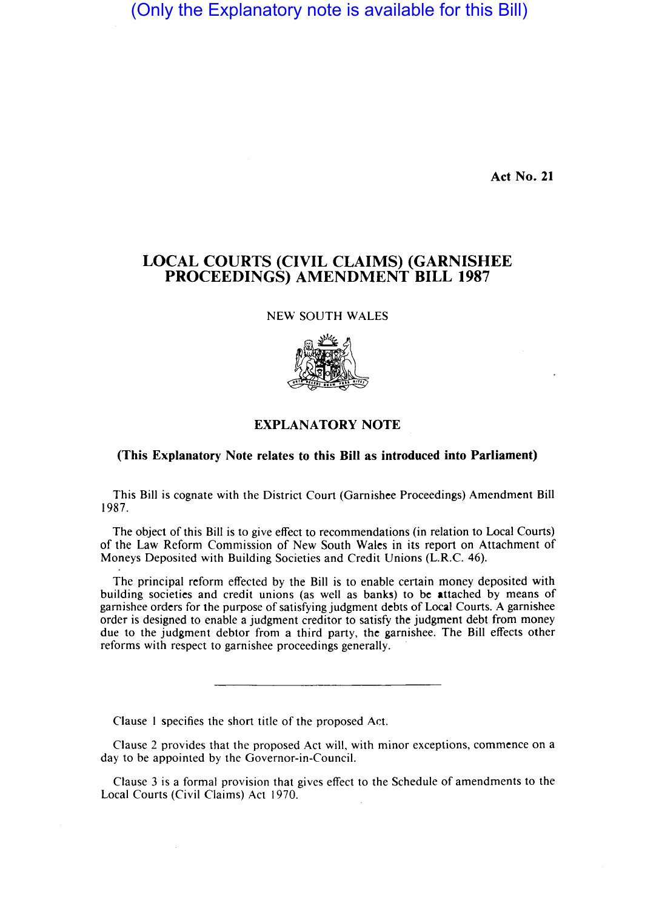(Only the Explanatory note is available for this Bill)

Act No. 21

## LOCAL COURTS (CIVIL CLAIMS) (GARNISHEE PROCEEDINGS) AMENDMENT **BILL** 1987

NEW SOUTH WALES



## EXPLANATORY NOTE

## (This Explanatory Note relates to this Bill as introduced into Parliament)

This Bill is cognate with the District Court (Garnishee Proceedings) Amendment Bill 1987.

The object of this Bill is to give effect to recommendations (in relation to Local Courts) of the Law Reform Commission of New South Wales in its report on Attachment of Moneys Deposited with Building Societies and Credit Unions (L.R.C. 46).

The principal reform effected by the Bill is to enable certain money deposited with building societies and credit unions (as well as banks) to be attached by means of garnishee orders for the purpose of satisfying judgment debts of Local Courts. A garnishee order is designed to enable a judgment creditor to satisfy the judgment debt from money due to the judgment debtor from a third party, the garnishee. The Bill effects other reforms with respect to garnishee proceedings generally.

Clause I specifies the short title of the proposed Act.

Clause 2 provides that the proposed Act will, with minor exceptions, commence on a day to be appointed by the Governor-in-Council.

Clause 3 is a formal provision that gives effect to the Schedule of amendments to the Local Courts (Civil Claims) Act 1970.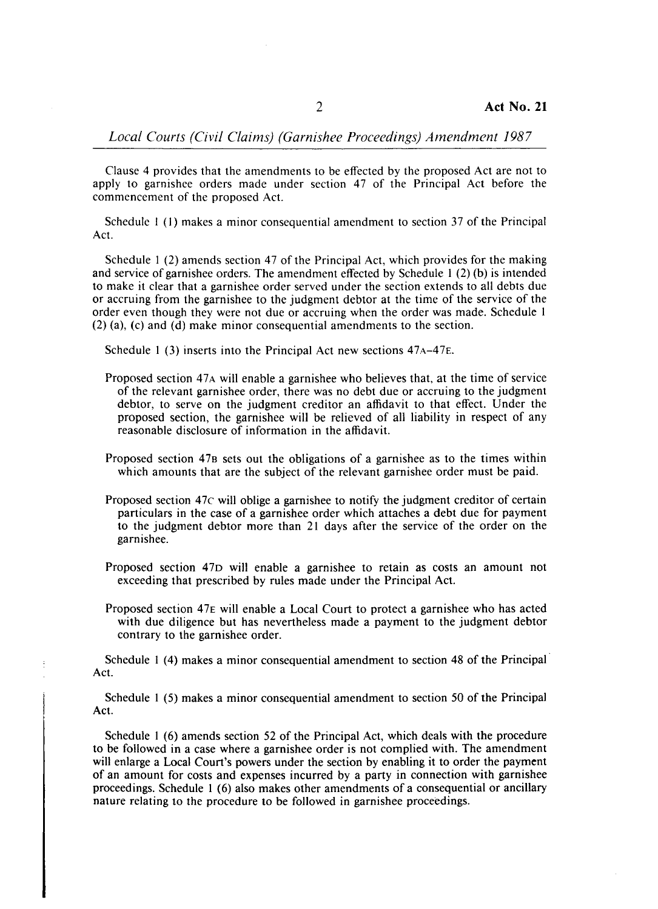*Local Courts (Civil Claims) (Garnishee Proceedings) Amendment 1987* 

Clause 4 provides that the amendments to be effected by the proposed Act are not to apply to garnishee orders made under section 47 of the Principal Act before the commencement of the proposed Act.

Schedule I (I) makes a minor consequential amendment to section 37 of the Principal Act.

Schedule I (2) amends section 47 of the Principal Act, which provides for the making and service of garnishee orders. The amendment effected by Schedule  $1(2)(b)$  is intended to make it clear that a garnishee order served under the section extends to all debts due or accruing from the garnishee to the judgment debtor at the time of the service of the order even though they were not due or accruing when the order was made. Schedule I (2) (a), (c) and (d) make minor consequential amendments to the section.

Schedule 1 (3) inserts into the Principal Act new sections  $47A-47E$ .

- Proposed section 47A will enable a garnishee who believes that, at the time of service of the relevant garnishee order, there was no debt due or accruing to the judgment debtor, to serve on the judgment creditor an affidavit to that effect. Under the proposed section, the garnishee will be relieved of all liability in respect of any reasonable disclosure of information in the affidavit.
- Proposed section 478 sets out the obligations of a garnishee as to the times within which amounts that are the subject of the relevant garnishee order must be paid.
- Proposed section 47c will oblige a garnishee to notify the judgment creditor of certain particulars in the case of a garnishee order which attaches a debt due for payment to the judgment debtor more than 21 days after the service of the order on the garnishee.
- Proposed section 47D will enable a garnishee to retain as costs an amount not exceeding that prescribed by rules made under the Principal Act.
- Proposed section 47E will enable a Local Court to protect a garnishee who has acted with due diligence but has nevertheless made a payment to the judgment debtor contrary to the garnishee order.

Schedule I (4) makes a minor consequential amendment to section 48 of the Principal Act.

Schedule I (5) makes a minor consequential amendment to section 50 of the Principal Act.

Schedule I (6) amends section 52 of the Principal Act, which deals with the procedure to be followed in a case where a garnishee order is not complied with. The amendment will enlarge a Local Court's powers under the section by enabling it to order the payment of an amount for costs and expenses incurred by a party in connection with garnishee proceedings. Schedule I (6) also makes other amendments of a consequential or ancillary nature relating to the procedure to be followed in garnishee proceedings.